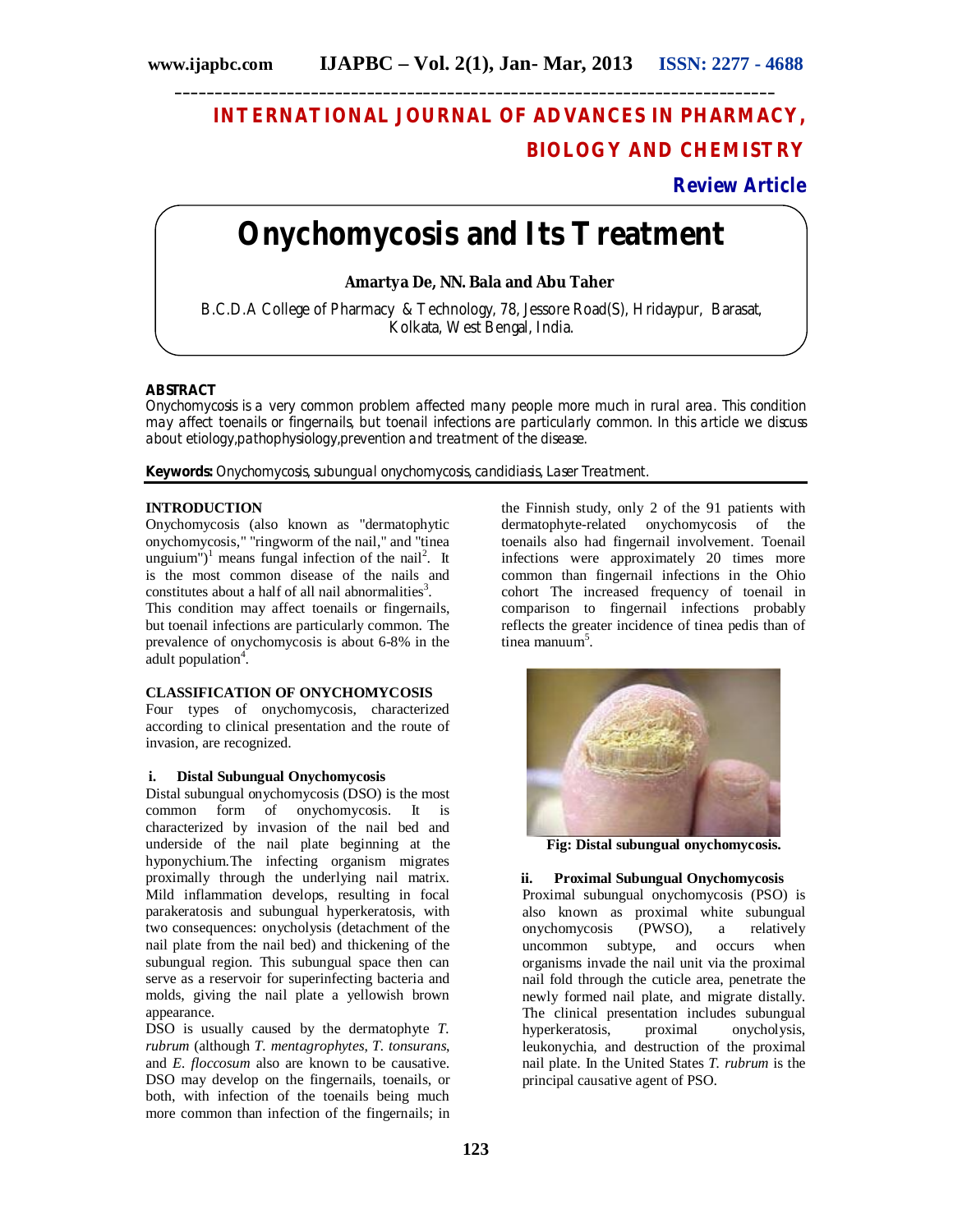## **INTERNATIONAL JOURNAL OF ADVANCES IN PHARMACY, BIOLOGY AND CHEMISTRY**

## **Review Article**

# **Onychomycosis and Its Treatment**

**\_\_\_\_\_\_\_\_\_\_\_\_\_\_\_\_\_\_\_\_\_\_\_\_\_\_\_\_\_\_\_\_\_\_\_\_\_\_\_\_\_\_\_\_\_\_\_\_\_\_\_\_\_\_\_\_\_\_\_\_\_\_\_\_\_\_\_\_\_\_\_\_\_\_\_**

**Amartya De, NN. Bala and Abu Taher**

B.C.D.A College of Pharmacy & Technology, 78, Jessore Road(S), Hridaypur, Barasat, Kolkata, West Bengal, India.

#### **ABSTRACT**

Onychomycosis is a very common problem affected many people more much in rural area. This condition may affect toenails or fingernails, but toenail infections are particularly common. In this article we discuss about etiology,pathophysiology,prevention and treatment of the disease.

**Keywords:** Onychomycosis, subungual onychomycosis, candidiasis, Laser Treatment.

#### **INTRODUCTION**

Onychomycosis (also known as "dermatophytic onychomycosis," "ringworm of the nail," and "tinea unguium")<sup>1</sup> means fungal infection of the nail<sup>2</sup>. It is the most common disease of the nails and constitutes about a half of all nail abnormalities<sup>3</sup>.

This condition may affect toenails or fingernails, but toenail infections are particularly common. The prevalence of onychomycosis is about 6-8% in the adult population<sup>4</sup>.

#### **CLASSIFICATION OF ONYCHOMYCOSIS**

Four types of onychomycosis, characterized according to clinical presentation and the route of invasion, are recognized.

#### **i. Distal Subungual Onychomycosis**

Distal subungual onychomycosis (DSO) is the most common form of onychomycosis. It is characterized by invasion of the nail bed and underside of the nail plate beginning at the hyponychium.The infecting organism migrates proximally through the underlying nail matrix. Mild inflammation develops, resulting in focal parakeratosis and subungual hyperkeratosis, with two consequences: onycholysis (detachment of the nail plate from the nail bed) and thickening of the subungual region. This subungual space then can serve as a reservoir for superinfecting bacteria and molds, giving the nail plate a yellowish brown appearance.

DSO is usually caused by the dermatophyte *T. rubrum* (although *T. mentagrophytes*, *T. tonsurans*, and *E. floccosum* also are known to be causative. DSO may develop on the fingernails, toenails, or both, with infection of the toenails being much more common than infection of the fingernails; in the Finnish study, only 2 of the 91 patients with dermatophyte-related onychomycosis of the toenails also had fingernail involvement. Toenail infections were approximately 20 times more common than fingernail infections in the Ohio cohort The increased frequency of toenail in comparison to fingernail infections probably reflects the greater incidence of tinea pedis than of tinea manuum<sup>5</sup>.



**Fig: Distal subungual onychomycosis.**

#### **ii. Proximal Subungual Onychomycosis**

Proximal subungual onychomycosis (PSO) is also known as proximal white subungual onychomycosis (PWSO), a relatively uncommon subtype, and occurs when organisms invade the nail unit via the proximal nail fold through the cuticle area, penetrate the newly formed nail plate, and migrate distally. The clinical presentation includes subungual<br>hyperkeratosis, proximal onycholysis, hyperkeratosis, proximal onycholysis, leukonychia, and destruction of the proximal nail plate. In the United States *T. rubrum* is the principal causative agent of PSO.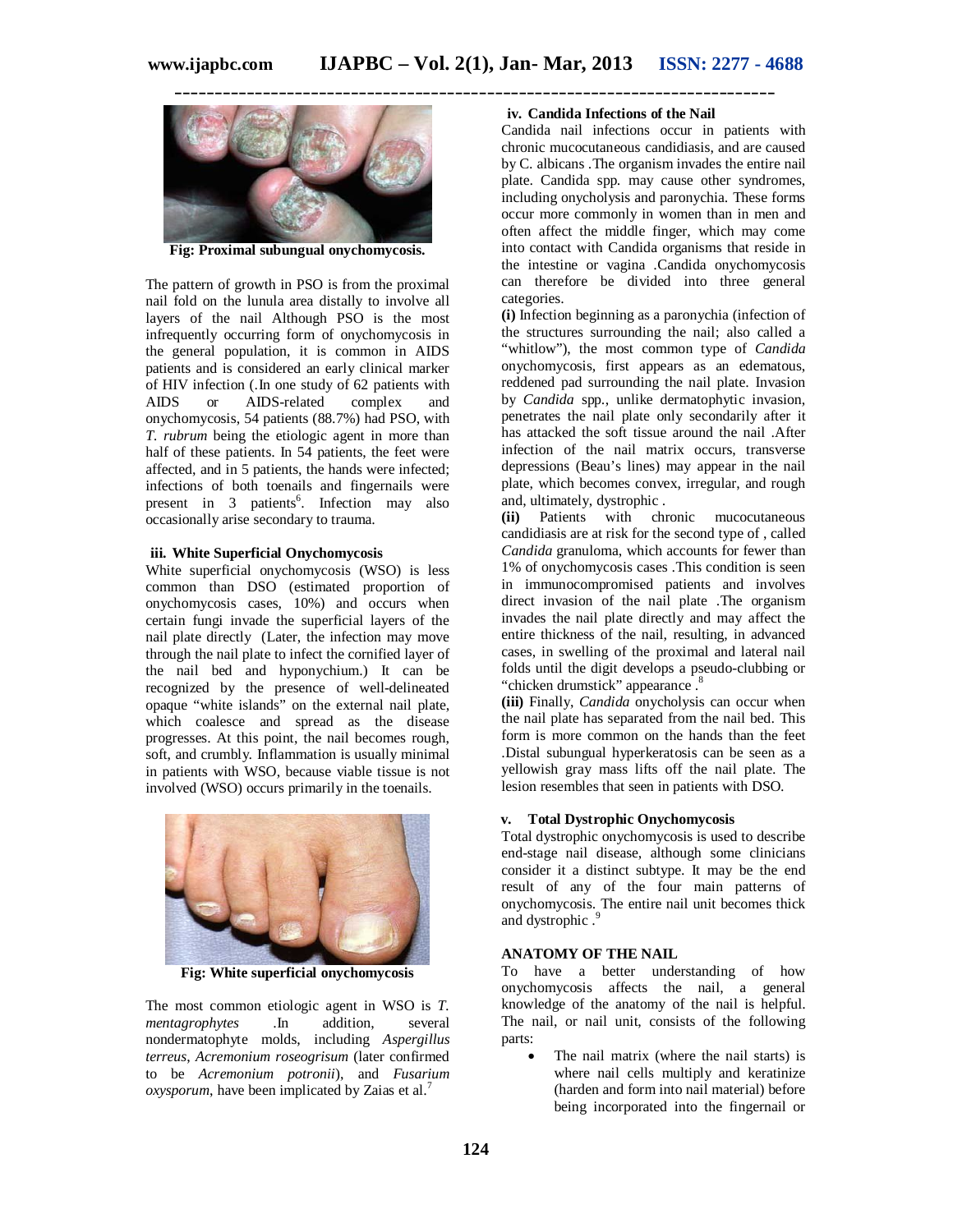**\_\_\_\_\_\_\_\_\_\_\_\_\_\_\_\_\_\_\_\_\_\_\_\_\_\_\_\_\_\_\_\_\_\_\_\_\_\_\_\_\_\_\_\_\_\_\_\_\_\_\_\_\_\_\_\_\_\_\_\_\_\_\_\_\_\_\_\_\_\_\_\_\_\_\_**



**Fig: Proximal subungual onychomycosis.**

The pattern of growth in PSO is from the proximal nail fold on the lunula area distally to involve all layers of the nail Although PSO is the most infrequently occurring form of onychomycosis in the general population, it is common in AIDS patients and is considered an early clinical marker of HIV infection (.In one study of 62 patients with<br>AIDS or AIDS-related complex and or AIDS-related complex and onychomycosis, 54 patients (88.7%) had PSO, with *T. rubrum* being the etiologic agent in more than half of these patients. In 54 patients, the feet were affected, and in 5 patients, the hands were infected; infections of both toenails and fingernails were present in 3 patients<sup>6</sup>. Infection may also occasionally arise secondary to trauma.

#### **iii. White Superficial Onychomycosis**

White superficial onychomycosis (WSO) is less common than DSO (estimated proportion of onychomycosis cases, 10%) and occurs when certain fungi invade the superficial layers of the nail plate directly (Later, the infection may move through the nail plate to infect the cornified layer of the nail bed and hyponychium.) It can be recognized by the presence of well-delineated opaque "white islands" on the external nail plate, which coalesce and spread as the disease progresses. At this point, the nail becomes rough, soft, and crumbly. Inflammation is usually minimal in patients with WSO, because viable tissue is not involved (WSO) occurs primarily in the toenails.



**Fig: White superficial onychomycosis**

The most common etiologic agent in WSO is *T. mentagrophytes* .In addition, several nondermatophyte molds, including *Aspergillus terreus*, *Acremonium roseogrisum* (later confirmed to be *Acremonium potronii*), and *Fusarium oxysporum*, have been implicated by Zaias et al.<sup>7</sup>

#### **iv. Candida Infections of the Nail**

Candida nail infections occur in patients with chronic mucocutaneous candidiasis, and are caused by C. albicans .The organism invades the entire nail plate. Candida spp. may cause other syndromes, including onycholysis and paronychia. These forms occur more commonly in women than in men and often affect the middle finger, which may come into contact with Candida organisms that reside in the intestine or vagina .Candida onychomycosis can therefore be divided into three general categories.

**(i)** Infection beginning as a paronychia (infection of the structures surrounding the nail; also called a "whitlow"), the most common type of *Candida* onychomycosis, first appears as an edematous, reddened pad surrounding the nail plate. Invasion by *Candida* spp., unlike dermatophytic invasion, penetrates the nail plate only secondarily after it has attacked the soft tissue around the nail .After infection of the nail matrix occurs, transverse depressions (Beau's lines) may appear in the nail plate, which becomes convex, irregular, and rough and, ultimately, dystrophic .

**(ii)** Patients with chronic mucocutaneous candidiasis are at risk for the second type of , called *Candida* granuloma, which accounts for fewer than 1% of onychomycosis cases .This condition is seen in immunocompromised patients and involves direct invasion of the nail plate .The organism invades the nail plate directly and may affect the entire thickness of the nail, resulting, in advanced cases, in swelling of the proximal and lateral nail folds until the digit develops a pseudo-clubbing or "chicken drumstick" appearance.<sup>8</sup>

**(iii)** Finally, *Candida* onycholysis can occur when the nail plate has separated from the nail bed. This form is more common on the hands than the feet .Distal subungual hyperkeratosis can be seen as a yellowish gray mass lifts off the nail plate. The lesion resembles that seen in patients with DSO.

#### **v. Total Dystrophic Onychomycosis**

Total dystrophic onychomycosis is used to describe end-stage nail disease, although some clinicians consider it a distinct subtype. It may be the end result of any of the four main patterns of onychomycosis. The entire nail unit becomes thick <sup>9</sup>. and dystrophic

#### **ANATOMY OF THE NAIL**

To have a better understanding of how onychomycosis affects the nail, a general knowledge of the anatomy of the nail is helpful. The nail, or nail unit, consists of the following parts:

 The nail matrix (where the nail starts) is where nail cells multiply and keratinize (harden and form into nail material) before being incorporated into the fingernail or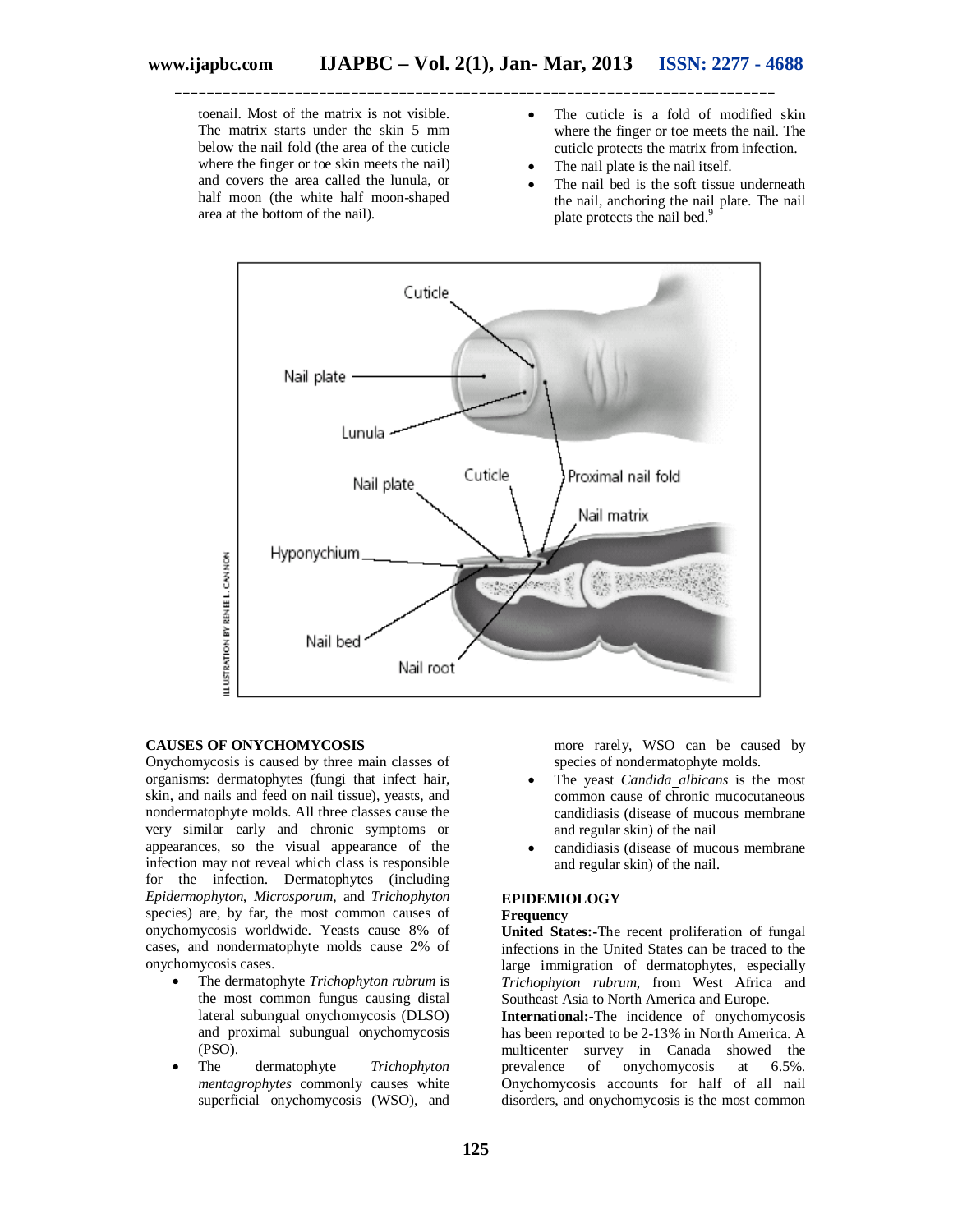toenail. Most of the matrix is not visible. The matrix starts under the skin 5 mm below the nail fold (the area of the cuticle where the finger or toe skin meets the nail) and covers the area called the lunula, or half moon (the white half moon-shaped area at the bottom of the nail).

- The cuticle is a fold of modified skin where the finger or toe meets the nail. The cuticle protects the matrix from infection.
- The nail plate is the nail itself.
- The nail bed is the soft tissue underneath the nail, anchoring the nail plate. The nail plate protects the nail bed.<sup>9</sup>



#### **CAUSES OF ONYCHOMYCOSIS**

Onychomycosis is caused by three main classes of organisms: dermatophytes (fungi that infect hair, skin, and nails and feed on nail tissue), yeasts, and nondermatophyte molds. All three classes cause the very similar early and chronic symptoms or appearances, so the visual appearance of the infection may not reveal which class is responsible for the infection. Dermatophytes (including *Epidermophyton, Microsporum,* and *Trichophyton* species) are, by far, the most common causes of onychomycosis worldwide. Yeasts cause 8% of cases, and nondermatophyte molds cause 2% of onychomycosis cases.

- The dermatophyte *Trichophyton rubrum* is the most common fungus causing distal lateral subungual onychomycosis (DLSO) and proximal subungual onychomycosis (PSO).
- The dermatophyte *Trichophyton mentagrophytes* commonly causes white superficial onychomycosis (WSO), and

more rarely, WSO can be caused by species of nondermatophyte molds.

- The yeast *Candida albicans* is the most common cause of chronic mucocutaneous candidiasis (disease of mucous membrane and regular skin) of the nail
- candidiasis (disease of mucous membrane and regular skin) of the nail.

#### **EPIDEMIOLOGY**

#### **Frequency**

**United States:-**The recent proliferation of fungal infections in the United States can be traced to the large immigration of dermatophytes, especially *Trichophyton rubrum,* from West Africa and Southeast Asia to North America and Europe.

**International:-**The incidence of onychomycosis has been reported to be 2-13% in North America. A multicenter survey in Canada showed the prevalence of onychomycosis at 6.5%. Onychomycosis accounts for half of all nail disorders, and onychomycosis is the most common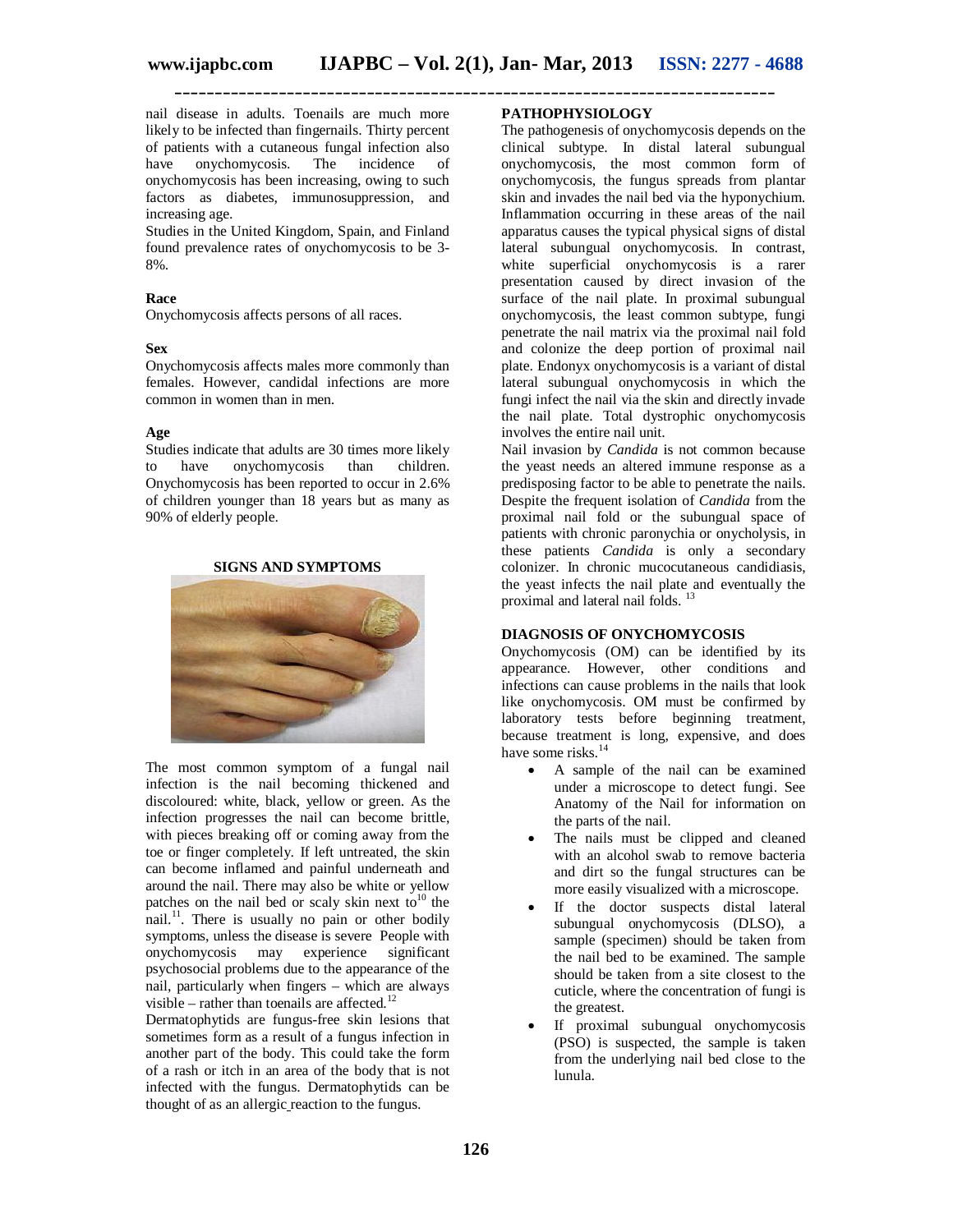**\_\_\_\_\_\_\_\_\_\_\_\_\_\_\_\_\_\_\_\_\_\_\_\_\_\_\_\_\_\_\_\_\_\_\_\_\_\_\_\_\_\_\_\_\_\_\_\_\_\_\_\_\_\_\_\_\_\_\_\_\_\_\_\_\_\_\_\_\_\_\_\_\_\_\_**

nail disease in adults. Toenails are much more likely to be infected than fingernails. Thirty percent of patients with a cutaneous fungal infection also have onychomycosis. The incidence of onychomycosis has been increasing, owing to such factors as diabetes, immunosuppression, and increasing age.

Studies in the United Kingdom, Spain, and Finland found prevalence rates of onychomycosis to be 3- 8%.

#### **Race**

Onychomycosis affects persons of all races.

#### **Sex**

Onychomycosis affects males more commonly than females. However, candidal infections are more common in women than in men.

#### **Age**

Studies indicate that adults are 30 times more likely to have onychomycosis than children. Onychomycosis has been reported to occur in 2.6% of children younger than 18 years but as many as 90% of elderly people.





The most common symptom of a fungal nail infection is the nail becoming thickened and discoloured: white, black, yellow or green. As the infection progresses the nail can become brittle, with pieces breaking off or coming away from the toe or finger completely. If left untreated, the skin can become inflamed and painful underneath and around the nail. There may also be white or yellow patches on the nail bed or scaly skin next to<sup>10</sup> the nail.<sup>11</sup>. There is usually no pain or other bodily symptoms, unless the disease is severe People with onychomycosis may experience significant psychosocial problems due to the appearance of the nail, particularly when fingers – which are always visible – rather than toenails are affected.<sup>1</sup>

Dermatophytids are fungus-free skin lesions that sometimes form as a result of a fungus infection in another part of the body. This could take the form of a rash or itch in an area of the body that is not infected with the fungus. Dermatophytids can be thought of as an allergic reaction to the fungus.

### **PATHOPHYSIOLOGY**

The pathogenesis of onychomycosis depends on the clinical subtype. In distal lateral subungual onychomycosis, the most common form of onychomycosis, the fungus spreads from plantar skin and invades the nail bed via the hyponychium. Inflammation occurring in these areas of the nail apparatus causes the typical physical signs of distal lateral subungual onychomycosis. In contrast, white superficial onychomycosis is a rarer presentation caused by direct invasion of the surface of the nail plate. In proximal subungual onychomycosis, the least common subtype, fungi penetrate the nail matrix via the proximal nail fold and colonize the deep portion of proximal nail plate. Endonyx onychomycosis is a variant of distal lateral subungual onychomycosis in which the fungi infect the nail via the skin and directly invade the nail plate. Total dystrophic onychomycosis involves the entire nail unit.

Nail invasion by *Candida* is not common because the yeast needs an altered immune response as a predisposing factor to be able to penetrate the nails. Despite the frequent isolation of *Candida* from the proximal nail fold or the subungual space of patients with chronic paronychia or onycholysis, in these patients *Candida* is only a secondary colonizer. In chronic mucocutaneous candidiasis, the yeast infects the nail plate and eventually the proximal and lateral nail folds.<sup>13</sup>

#### **DIAGNOSIS OF ONYCHOMYCOSIS**

Onychomycosis (OM) can be identified by its appearance. However, other conditions and infections can cause problems in the nails that look like onychomycosis. OM must be confirmed by laboratory tests before beginning treatment, because treatment is long, expensive, and does have some risks. $14$ 

- A sample of the nail can be examined under a microscope to detect fungi. See Anatomy of the Nail for information on the parts of the nail.
- The nails must be clipped and cleaned with an alcohol swab to remove bacteria and dirt so the fungal structures can be more easily visualized with a microscope.
- If the doctor suspects distal lateral subungual onychomycosis (DLSO), a sample (specimen) should be taken from the nail bed to be examined. The sample should be taken from a site closest to the cuticle, where the concentration of fungi is the greatest.
- If proximal subungual onychomycosis (PSO) is suspected, the sample is taken from the underlying nail bed close to the lunula.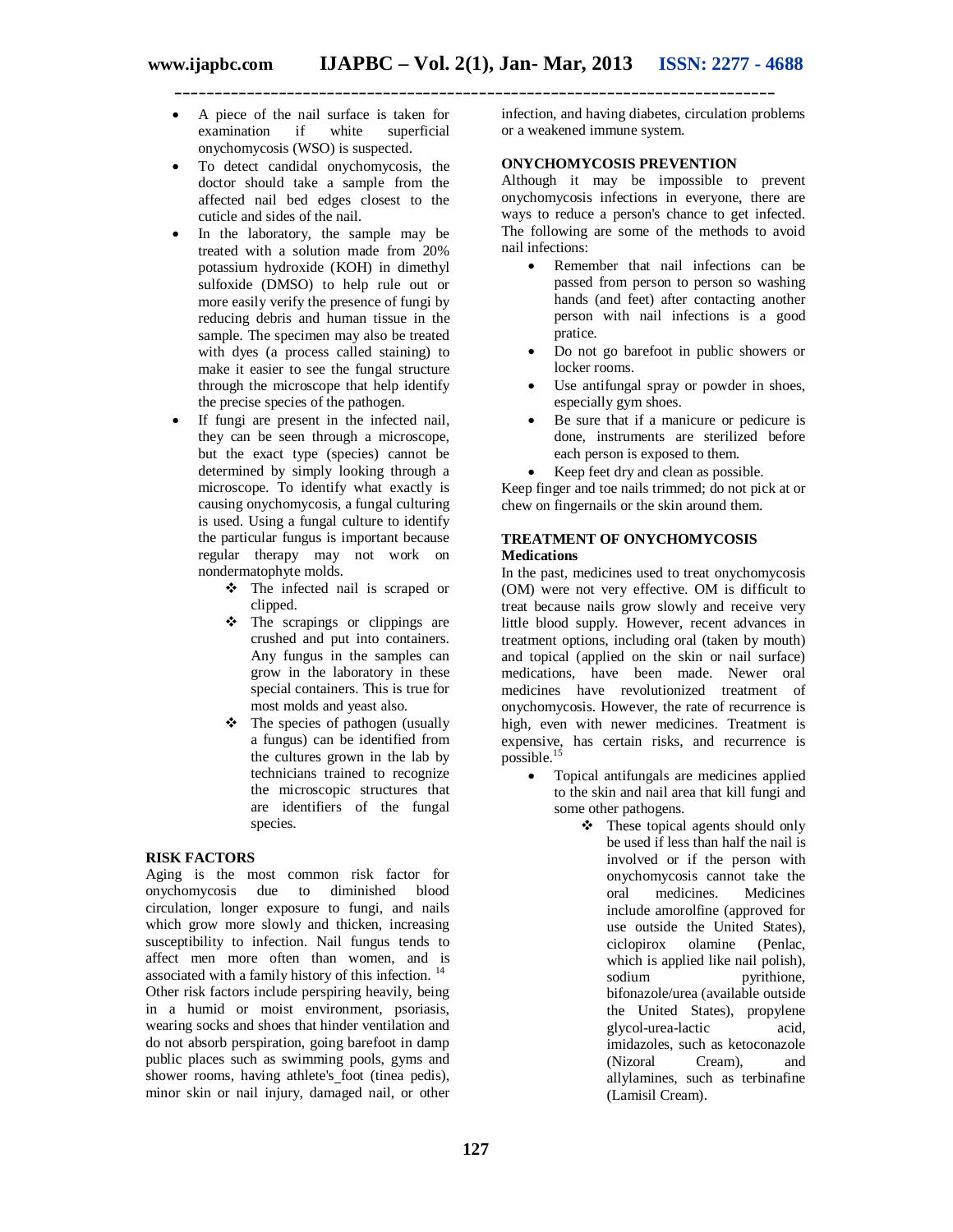- **\_\_\_\_\_\_\_\_\_\_\_\_\_\_\_\_\_\_\_\_\_\_\_\_\_\_\_\_\_\_\_\_\_\_\_\_\_\_\_\_\_\_\_\_\_\_\_\_\_\_\_\_\_\_\_\_\_\_\_\_\_\_\_\_\_\_\_\_\_\_\_\_\_\_\_**
	- A piece of the nail surface is taken for examination if white superficial onychomycosis (WSO) is suspected.
	- To detect candidal onychomycosis, the doctor should take a sample from the affected nail bed edges closest to the cuticle and sides of the nail.
	- In the laboratory, the sample may be treated with a solution made from 20% potassium hydroxide (KOH) in dimethyl sulfoxide (DMSO) to help rule out or more easily verify the presence of fungi by reducing debris and human tissue in the sample. The specimen may also be treated with dyes (a process called staining) to make it easier to see the fungal structure through the microscope that help identify the precise species of the pathogen.
	- If fungi are present in the infected nail, they can be seen through a microscope, but the exact type (species) cannot be determined by simply looking through a microscope. To identify what exactly is causing onychomycosis, a fungal culturing is used. Using a fungal culture to identify the particular fungus is important because regular therapy may not work on nondermatophyte molds.
		- The infected nail is scraped or clipped.
		- The scrapings or clippings are crushed and put into containers. Any fungus in the samples can grow in the laboratory in these special containers. This is true for most molds and yeast also.
		- $\div$  The species of pathogen (usually a fungus) can be identified from the cultures grown in the lab by technicians trained to recognize the microscopic structures that are identifiers of the fungal species.

## **RISK FACTORS**

Aging is the most common risk factor for onychomycosis due to diminished blood circulation, longer exposure to fungi, and nails which grow more slowly and thicken, increasing susceptibility to infection. Nail fungus tends to affect men more often than women, and is associated with a family history of this infection.<sup>14</sup> Other risk factors include perspiring heavily, being in a humid or moist environment, psoriasis, wearing socks and shoes that hinder ventilation and do not absorb perspiration, going barefoot in damp public places such as swimming pools, gyms and shower rooms, having athlete's foot (tinea pedis), minor skin or nail injury, damaged nail, or other

infection, and having diabetes, circulation problems or a weakened immune system.

## **ONYCHOMYCOSIS PREVENTION**

Although it may be impossible to prevent onychomycosis infections in everyone, there are ways to reduce a person's chance to get infected. The following are some of the methods to avoid nail infections:

- Remember that nail infections can be passed from person to person so washing hands (and feet) after contacting another person with nail infections is a good pratice.
- Do not go barefoot in public showers or locker rooms.
- Use antifungal spray or powder in shoes, especially gym shoes.
- Be sure that if a manicure or pedicure is done, instruments are sterilized before each person is exposed to them.
- Keep feet dry and clean as possible.

Keep finger and toe nails trimmed; do not pick at or chew on fingernails or the skin around them.

## **TREATMENT OF ONYCHOMYCOSIS Medications**

In the past, medicines used to treat onychomycosis (OM) were not very effective. OM is difficult to treat because nails grow slowly and receive very little blood supply. However, recent advances in treatment options, including oral (taken by mouth) and topical (applied on the skin or nail surface) medications, have been made. Newer oral medicines have revolutionized treatment of onychomycosis. However, the rate of recurrence is high, even with newer medicines. Treatment is expensive, has certain risks, and recurrence is possible. $<sup>1</sup>$ </sup>

- Topical antifungals are medicines applied to the skin and nail area that kill fungi and some other pathogens.
	- $\div$  These topical agents should only be used if less than half the nail is involved or if the person with onychomycosis cannot take the<br>oral medicines. Medicines oral medicines. include amorolfine (approved for use outside the United States), ciclopirox olamine (Penlac, which is applied like nail polish), sodium pyrithione, bifonazole/urea (available outside the United States), propylene glycol-urea-lactic acid, imidazoles, such as ketoconazole<br>(Nizoral Cream). and Cream), and allylamines, such as terbinafine (Lamisil Cream).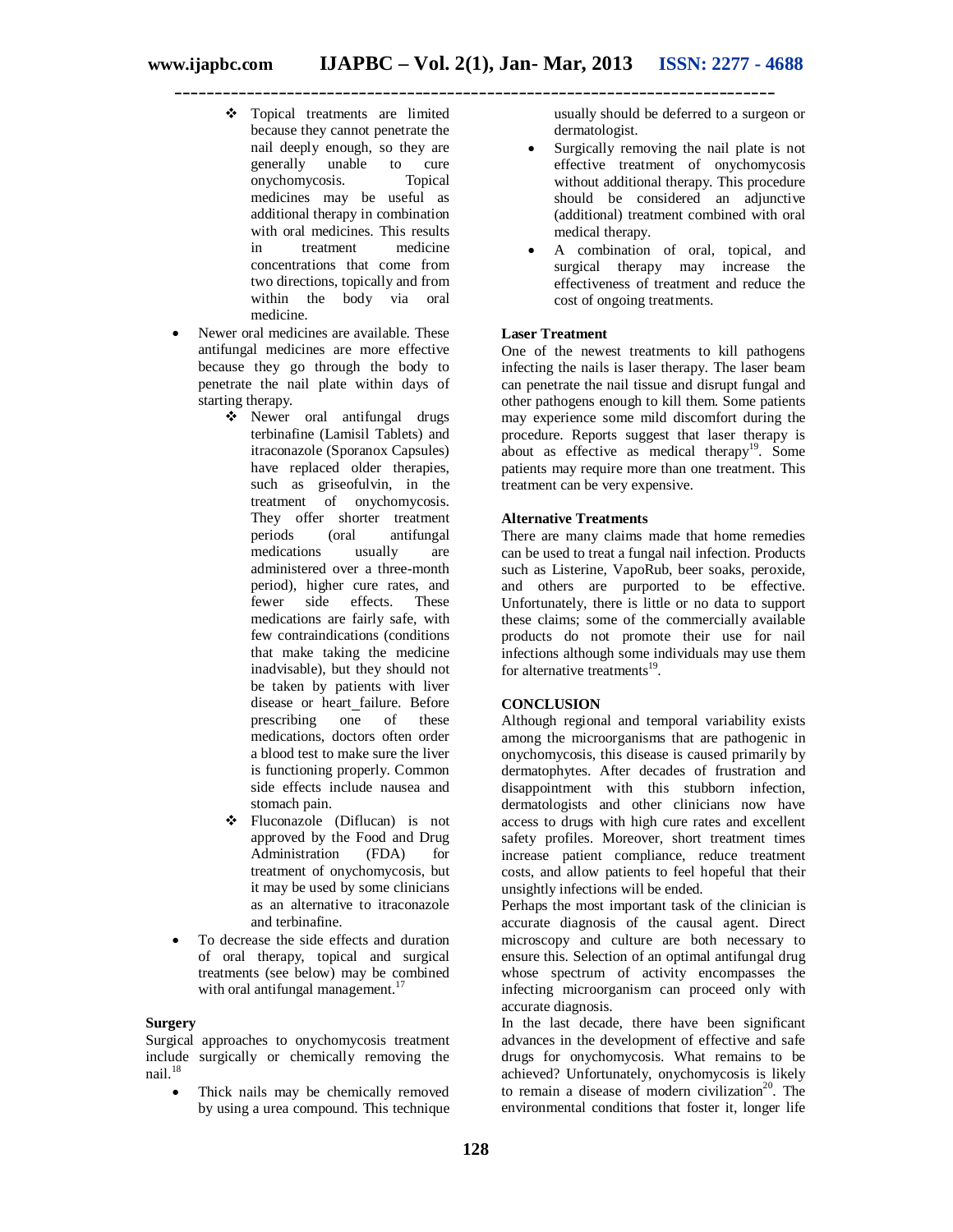**\_\_\_\_\_\_\_\_\_\_\_\_\_\_\_\_\_\_\_\_\_\_\_\_\_\_\_\_\_\_\_\_\_\_\_\_\_\_\_\_\_\_\_\_\_\_\_\_\_\_\_\_\_\_\_\_\_\_\_\_\_\_\_\_\_\_\_\_\_\_\_\_\_\_\_**

- Topical treatments are limited because they cannot penetrate the nail deeply enough, so they are generally unable to cure onychomycosis. Topical medicines may be useful as additional therapy in combination with oral medicines. This results<br>in treatment medicine in treatment concentrations that come from two directions, topically and from within the body via oral medicine.
- Newer oral medicines are available. These antifungal medicines are more effective because they go through the body to penetrate the nail plate within days of starting therapy.
	- Newer oral antifungal drugs terbinafine (Lamisil Tablets) and itraconazole (Sporanox Capsules) have replaced older therapies, such as griseofulvin, in the treatment of onychomycosis. They offer shorter treatment<br>periods (oral antifungal periods (oral antifungal medications usually are administered over a three-month period), higher cure rates, and fewer side effects. These medications are fairly safe, with few contraindications (conditions that make taking the medicine inadvisable), but they should not be taken by patients with liver disease or heart failure. Before<br>prescribing one of these prescribing one of these medications, doctors often order a blood test to make sure the liver is functioning properly. Common side effects include nausea and stomach pain.
	- Fluconazole (Diflucan) is not approved by the Food and Drug Administration (FDA) for treatment of onychomycosis, but it may be used by some clinicians as an alternative to itraconazole and terbinafine.
- To decrease the side effects and duration of oral therapy, topical and surgical treatments (see below) may be combined with oral antifungal management. $17$

#### **Surgery**

Surgical approaches to onychomycosis treatment include surgically or chemically removing the nail. $18$ 

• Thick nails may be chemically removed by using a urea compound. This technique

usually should be deferred to a surgeon or dermatologist.

- Surgically removing the nail plate is not effective treatment of onychomycosis without additional therapy. This procedure should be considered an adjunctive (additional) treatment combined with oral medical therapy.
- A combination of oral, topical, and surgical therapy may increase the effectiveness of treatment and reduce the cost of ongoing treatments.

#### **Laser Treatment**

One of the newest treatments to kill pathogens infecting the nails is laser therapy. The laser beam can penetrate the nail tissue and disrupt fungal and other pathogens enough to kill them. Some patients may experience some mild discomfort during the procedure. Reports suggest that laser therapy is about as effective as medical therapy<sup>19</sup>. Some patients may require more than one treatment. This treatment can be very expensive.

#### **Alternative Treatments**

There are many claims made that home remedies can be used to treat a fungal nail infection. Products such as Listerine, VapoRub, beer soaks, peroxide, and others are purported to be effective. Unfortunately, there is little or no data to support these claims; some of the commercially available products do not promote their use for nail infections although some individuals may use them for alternative treatments<sup>19</sup>.

#### **CONCLUSION**

Although regional and temporal variability exists among the microorganisms that are pathogenic in onychomycosis, this disease is caused primarily by dermatophytes. After decades of frustration and disappointment with this stubborn infection, dermatologists and other clinicians now have access to drugs with high cure rates and excellent safety profiles. Moreover, short treatment times increase patient compliance, reduce treatment costs, and allow patients to feel hopeful that their unsightly infections will be ended.

Perhaps the most important task of the clinician is accurate diagnosis of the causal agent. Direct microscopy and culture are both necessary to ensure this. Selection of an optimal antifungal drug whose spectrum of activity encompasses the infecting microorganism can proceed only with accurate diagnosis.

In the last decade, there have been significant advances in the development of effective and safe drugs for onychomycosis. What remains to be achieved? Unfortunately, onychomycosis is likely to remain a disease of modern civilization<sup>20</sup>. The environmental conditions that foster it, longer life